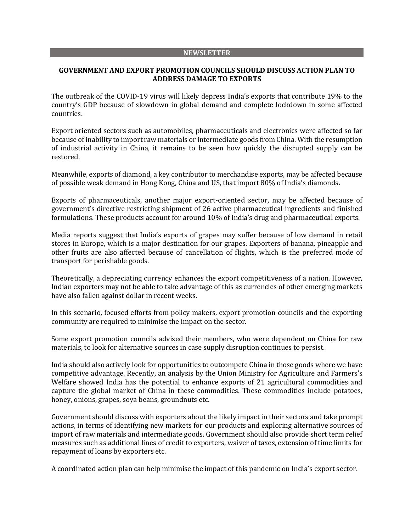#### **NEWSLETTER**

### **GOVERNMENT AND EXPORT PROMOTION COUNCILS SHOULD DISCUSS ACTION PLAN TO ADDRESS DAMAGE TO EXPORTS**

The outbreak of the COVID-19 virus will likely depress India's exports that contribute 19% to the country's GDP because of slowdown in global demand and complete lockdown in some affected countries.

Export oriented sectors such as automobiles, pharmaceuticals and electronics were affected so far because of inability to import raw materials or intermediate goods from China. With the resumption of industrial activity in China, it remains to be seen how quickly the disrupted supply can be restored.

Meanwhile, exports of diamond, a key contributor to merchandise exports, may be affected because of possible weak demand in Hong Kong, China and US, that import 80% of India's diamonds.

Exports of pharmaceuticals, another major export-oriented sector, may be affected because of government's directive restricting shipment of 26 active pharmaceutical ingredients and finished formulations. These products account for around 10% of India's drug and pharmaceutical exports.

Media reports suggest that India's exports of grapes may suffer because of low demand in retail stores in Europe, which is a major destination for our grapes. Exporters of banana, pineapple and other fruits are also affected because of cancellation of flights, which is the preferred mode of transport for perishable goods.

Theoretically, a depreciating currency enhances the export competitiveness of a nation. However, Indian exporters may not be able to take advantage of this as currencies of other emerging markets have also fallen against dollar in recent weeks.

In this scenario, focused efforts from policy makers, export promotion councils and the exporting community are required to minimise the impact on the sector.

Some export promotion councils advised their members, who were dependent on China for raw materials, to look for alternative sources in case supply disruption continues to persist.

India should also actively look for opportunities to outcompete China in those goods where we have competitive advantage. Recently, an analysis by the Union Ministry for Agriculture and Farmers's Welfare showed India has the potential to enhance exports of 21 agricultural commodities and capture the global market of China in these commodities. These commodities include potatoes, honey, onions, grapes, soya beans, groundnuts etc.

Government should discuss with exporters about the likely impact in their sectors and take prompt actions, in terms of identifying new markets for our products and exploring alternative sources of import of raw materials and intermediate goods. Government should also provide short term relief measures such as additional lines of credit to exporters, waiver of taxes, extension of time limits for repayment of loans by exporters etc.

A coordinated action plan can help minimise the impact of this pandemic on India's export sector.